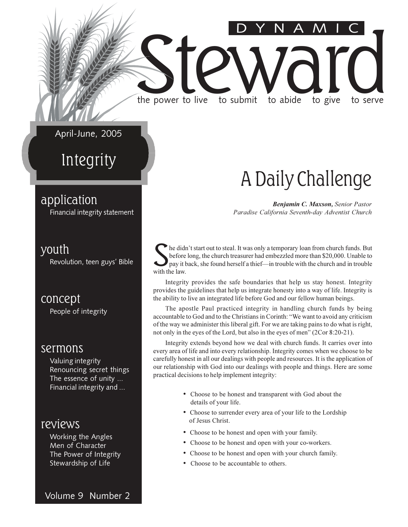#### April-June, 2005

the power to live

### Integrity

#### application

Financial integrity statement

#### youth

Revolution, teen guys' Bible

concept People of integrity

#### sermons

Valuing integrity Renouncing secret things The essence of unity ... Financial integrity and ...

#### reviews

Working the Angles Men of Character The Power of Integrity Stewardship of Life

### A Daily Challenge

to give

to serve

to abide

Benjamin C. Maxson, Senior Pastor Paradise California Seventh-day Adventist Church

he didn't start out to steal. It was only a temporary loan from church funds. But before long, the church treasurer had embezzled more than \$20,000. Unable to pay it back, she found herself a thief—in trouble with the church and in trouble with the law.

to submit

Integrity provides the safe boundaries that help us stay honest. Integrity provides the guidelines that help us integrate honesty into a way of life. Integrity is the ability to live an integrated life before God and our fellow human beings.

The apostle Paul practiced integrity in handling church funds by being accountable to God and to the Christians in Corinth: "We want to avoid any criticism of the way we administer this liberal gift. For we are taking pains to do what is right, not only in the eyes of the Lord, but also in the eyes of men" (2Cor 8:20-21).

Integrity extends beyond how we deal with church funds. It carries over into every area of life and into every relationship. Integrity comes when we choose to be carefully honest in all our dealings with people and resources. It is the application of our relationship with God into our dealings with people and things. Here are some practical decisions to help implement integrity:

- Choose to be honest and transparent with God about the details of your life.
- Choose to surrender every area of your life to the Lordship of Jesus Christ.
- Choose to be honest and open with your family.
- Choose to be honest and open with your co-workers.
- Choose to be honest and open with your church family.
- Choose to be accountable to others.

Volume 9 Number 2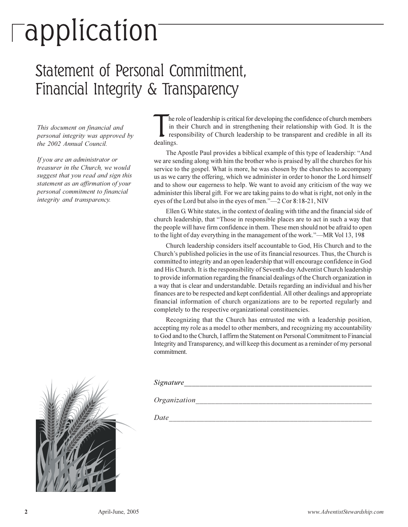# $\lceil$ application

### Statement of Personal Commitment, Financial Integrity & Transparency

This document on financial and personal integrity was approved by the 2002 Annual Council.

If you are an administrator or treasurer in the Church, we would suggest that you read and sign this statement as an affirmation of your personal commitment to financial integrity and transparency.

he role of leadership is critical for developing the confidence of church members in their Church and in strengthening their relationship with God. It is the responsibility of Church leadership to be transparent and credible in all its dealings.

The Apostle Paul provides a biblical example of this type of leadership: "And we are sending along with him the brother who is praised by all the churches for his service to the gospel. What is more, he was chosen by the churches to accompany us as we carry the offering, which we administer in order to honor the Lord himself and to show our eagerness to help. We want to avoid any criticism of the way we administer this liberal gift. For we are taking pains to do what is right, not only in the eyes of the Lord but also in the eyes of men."-2 Cor 8:18-21, NIV

Ellen G. White states, in the context of dealing with tithe and the financial side of church leadership, that "Those in responsible places are to act in such a way that the people will have firm confidence in them. These men should not be afraid to open to the light of day everything in the management of the work."—MR Vol 13, 198

Church leadership considers itself accountable to God, His Church and to the Church's published policies in the use of its financial resources. Thus, the Church is committed to integrity and an open leadership that will encourage confidence in God and His Church. It is the responsibility of Seventh-day Adventist Church leadership to provide information regarding the financial dealings of the Church organization in a way that is clear and understandable. Details regarding an individual and his/her finances are to be respected and kept confidential. All other dealings and appropriate financial information of church organizations are to be reported regularly and completely to the respective organizational constituencies.

Recognizing that the Church has entrusted me with a leadership position, accepting my role as a model to other members, and recognizing my accountability to God and to the Church, I affirm the Statement on Personal Commitment to Financial Integrity and Transparency, and will keep this document as a reminder of my personal commitment.

Signature

*Organization* 

Date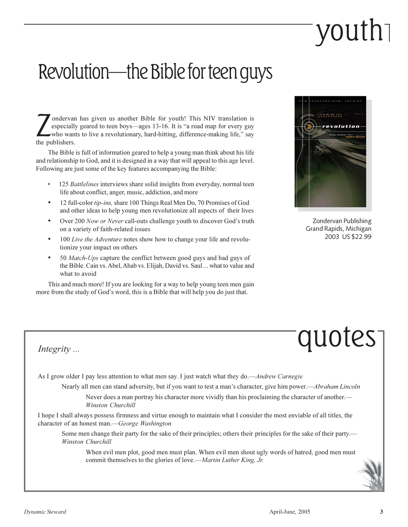# vouth

### Revolution—the Bible for teen guys

ondervan has given us another Bible for youth! This NIV translation is especially geared to teen boys—ages 13-16. It is "a road map for every guy who wants to live a revolutionary, hard-hitting, difference-making life," say the publishers.

The Bible is full of information geared to help a young man think about his life and relationship to God, and it is designed in a way that will appeal to this age level. Following are just some of the key features accompanying the Bible:

- 125 Battlelines interviews share solid insights from everyday, normal teen life about conflict, anger, music, addiction, and more
- 12 full-color tip-ins, share 100 Things Real Men Do, 70 Promises of God and other ideas to help young men revolutionize all aspects of their lives
- Over 200 Now or Never call-outs challenge youth to discover God's truth on a variety of faith-related issues
- 100 Live the Adventure notes show how to change your life and revolutionize your impact on others
- 50 *Match-Ups* capture the conflict between good guys and bad guys of the Bible. Cain vs. Abel, Ahab vs. Elijah, David vs. Saul ... what to value and what to avoid

This and much more! If you are looking for a way to help young teen men gain more from the study of God's word, this is a Bible that will help you do just that.



Zondervan Publishing Grand Rapids, Michigan 2003 US \$22.99

# quotes

Integrity ...

As I grow older I pay less attention to what men say. I just watch what they do.—Andrew Carnegie

Nearly all men can stand adversity, but if you want to test a man's character, give him power.—Abraham Lincoln Never does a man portray his character more vividly than his proclaiming the character of another.—

Winston Churchill

I hope I shall always possess firmness and virtue enough to maintain what I consider the most enviable of all titles, the character of an honest man.—George Washington

Some men change their party for the sake of their principles; others their principles for the sake of their party.— Winston Churchill

When evil men plot, good men must plan. When evil men shout ugly words of hatred, good men must commit themselves to the glories of love.—Martin Luther King, Jr.

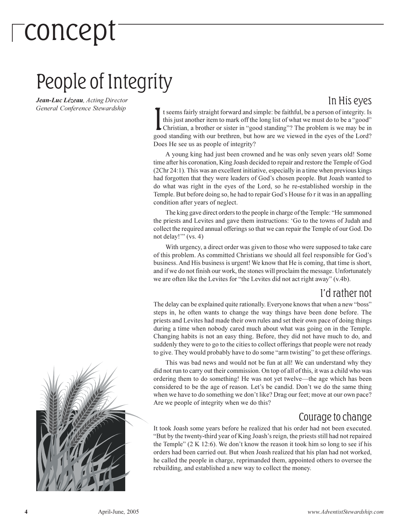# -concept

### People of Integrity

Jean-Luc Lézeau, Acting Director General Conference Stewardship

#### In His eyes

t seems fairly straight forward and simple: be faithful, be a person of integrity. Is this just another item to mark off the long list of what we must do to be a "good" ► Christian, a brother or sister in "good standing"? The problem is we may be in good standing with our brethren, but how are we viewed in the eyes of the Lord? Does He see us as people of integrity?

A young king had just been crowned and he was only seven years old! Some time after his coronation, King Joash decided to repair and restore the Temple of God (2Chr 24:1). This was an excellent initiative, especially in a time when previous kings had forgotten that they were leaders of God's chosen people. But Joash wanted to do what was right in the eyes of the Lord, so he re-established worship in the Temple. But before doing so, he had to repair God's House for it was in an appalling condition after years of neglect.

The king gave direct orders to the people in charge of the Temple: "He summoned the priests and Levites and gave them instructions: 'Go to the towns of Judah and collect the required annual offerings so that we can repair the Temple of our God. Do not delay!"  $(vs. 4)$ 

With urgency, a direct order was given to those who were supposed to take care of this problem. As committed Christians we should all feel responsible for God's business. And His business is urgent! We know that He is coming, that time is short, and if we do not finish our work, the stones will proclaim the message. Unfortunately we are often like the Levites for "the Levites did not act right away" (v.4b).

#### I'd rather not

The delay can be explained quite rationally. Everyone knows that when a new "boss" steps in, he often wants to change the way things have been done before. The priests and Levites had made their own rules and set their own pace of doing things during a time when nobody cared much about what was going on in the Temple. Changing habits is not an easy thing. Before, they did not have much to do, and suddenly they were to go to the cities to collect offerings that people were not ready to give. They would probably have to do some "arm twisting" to get these offerings.

This was bad news and would not be fun at all! We can understand why they did not run to carry out their commission. On top of all of this, it was a child who was ordering them to do something! He was not yet twelve—the age which has been considered to be the age of reason. Let's be candid. Don't we do the same thing when we have to do something we don't like? Drag our feet; move at our own pace? Are we people of integrity when we do this?

#### Courage to change

It took Joash some years before he realized that his order had not been executed. "But by the twenty-third year of King Joash's reign, the priests still had not repaired the Temple"  $(2 K 12:6)$ . We don't know the reason it took him so long to see if his orders had been carried out. But when Joash realized that his plan had not worked, he called the people in charge, reprimanded them, appointed others to oversee the rebuilding, and established a new way to collect the money.

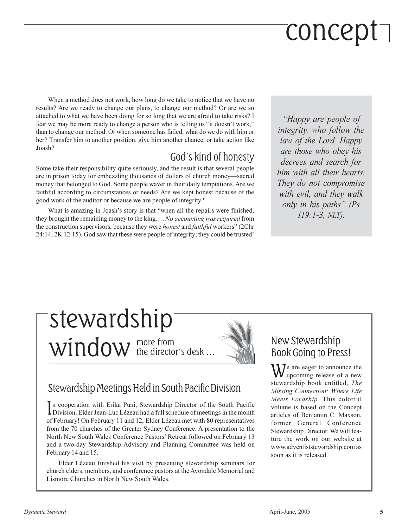# concept ]

When a method does not work, how long do we take to notice that we have no results? Are we ready to change our plans, to change our method? Or are we so attached to what we have been doing for so long that we are afraid to take risks? I fear we may be more ready to change a person who is telling us "it doesn't work," than to change our method. Or when someone has failed, what do we do with him or her? Transfer him to another position, give him another chance, or take action like Joash?

#### God's kind of honesty

Some take their responsibility quite seriously, and the result is that several people are in prison today for embezzling thousands of dollars of church money—sacred money that belonged to God. Some people waver in their daily temptations. Are we faithful according to circumstances or needs? Are we kept honest because of the good work of the auditor or because we are people of integrity?

What is amazing in Joash's story is that "when all the repairs were finished, they brought the remaining money to the king.... No accounting was required from the construction supervisors, because they were *honest* and *faithful* workers" (2Chr 24:14; 2K 12:15). God saw that these were people of integrity; they could be trusted!

"Happy are people of integrity, who follow the law of the Lord. Happy are those who obey his decrees and search for him with all their hearts. They do not compromise with evil, and they walk only in his paths" (Ps  $119:1-3$ , NLT).

### stewardship Window the director's desk...



In cooperation with Erika Puni, Stewardship Director of the South Pacific<br>Division, Elder Jean-Luc Lézeau had a full schedule of meetings in the month of February! On February 11 and 12, Elder Lézeau met with 80 representatives from the 70 churches of the Greater Sydney Conference. A presentation to the North New South Wales Conference Pastors' Retreat followed on February 13 and a two-day Stewardship Advisory and Planning Committee was held on February 14 and 15.

Elder Lézeau finished his visit by presenting stewardship seminars for church elders, members, and conference pastors at the Avondale Memorial and Lismore Churches in North New South Wales.

#### New Stewardship **Book Going to Press!**

 $\mathbf{W}$  are eager to announce the upcoming release of a new stewardship book entitled, The Missing Connection: Where Life Meets Lordship. This colorful volume is based on the Concept articles of Beniamin C. Maxson. former General Conference Stewardship Director. We will feature the work on our website at www.adventiststewardship.com as soon as it is released.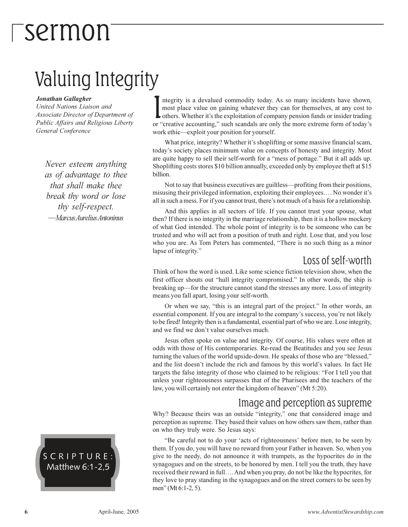## *-sermon*

### Valuing Integrity

#### Jonathan Gallagher

United Nations Liaison and Associate Director of Department of Public Affairs and Religious Liberty General Conference

Never esteem anything as of advantage to thee that shall make thee break thy word or lose thy self-respect. — Marcus Aurelius Antoninus

SCRIPTURE: Matthew 6:1-2,5

ntegrity is a devalued commodity today. As so many incidents have shown, most place value on gaining whatever they can for themselves, at any cost to others. Whether it's the exploitation of company pension funds or insider trading or "creative accounting," such scandals are only the more extreme form of today's work ethic—exploit your position for yourself.

What price, integrity? Whether it's shoplifting or some massive financial scam, today's society places minimum value on concepts of honesty and integrity. Most are quite happy to sell their self-worth for a "mess of pottage." But it all adds up. Shoplifting costs stores \$10 billion annually, exceeded only by employee theft at \$15 billion.

Not to say that business executives are guiltless—profiting from their positions, misusing their privileged information, exploiting their employees.... No wonder it's all in such a mess. For if you cannot trust, there's not much of a basis for a relationship.

And this applies in all sectors of life. If you cannot trust your spouse, what then? If there is no integrity in the marriage relationship, then it is a hollow mockery of what God intended. The whole point of integrity is to be someone who can be trusted and who will act from a position of truth and right. Lose that, and you lose who you are. As Tom Peters has commented, "There is no such thing as a minor lapse of integrity."

#### Loss of self-worth

Think of how the word is used. Like some science fiction television show, when the first officer shouts out "hull integrity compromised." In other words, the ship is breaking up—for the structure cannot stand the stresses any more. Loss of integrity means you fall apart, losing your self-worth.

Or when we say, "this is an integral part of the project." In other words, an essential component. If you are integral to the company's success, you're not likely to be fired! Integrity then is a fundamental, essential part of who we are. Lose integrity, and we find we don't value ourselves much.

Jesus often spoke on value and integrity. Of course, His values were often at odds with those of His contemporaries. Re-read the Beatitudes and you see Jesus turning the values of the world upside-down. He speaks of those who are "blessed," and the list doesn't include the rich and famous by this world's values. In fact He targets the false integrity of those who claimed to be religious: "For I tell you that unless your righteousness surpasses that of the Pharisees and the teachers of the law, you will certainly not enter the kingdom of heaven" (Mt 5:20).

#### Image and perception as supreme

Why? Because theirs was an outside "integrity," one that considered image and perception as supreme. They based their values on how others saw them, rather than on who they truly were. So Jesus says:

"Be careful not to do your 'acts of righteousness' before men, to be seen by them. If you do, you will have no reward from your Father in heaven. So, when you give to the needy, do not announce it with trumpets, as the hypocrites do in the synagogues and on the streets, to be honored by men. I tell you the truth, they have received their reward in full.... And when you pray, do not be like the hypocrites, for they love to pray standing in the synagogues and on the street corners to be seen by men" (Mt  $6:1-2, 5$ ).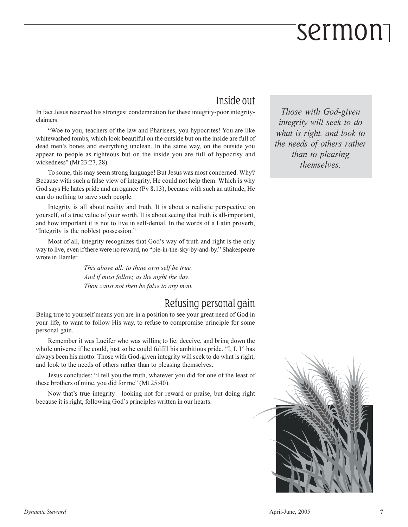# Sermon<sub>1</sub>

#### Inside out

In fact Jesus reserved his strongest condemnation for these integrity-poor integrityclaimers:

"Woe to you, teachers of the law and Pharisees, you hypocrites! You are like whitewashed tombs, which look beautiful on the outside but on the inside are full of dead men's bones and everything unclean. In the same way, on the outside you appear to people as righteous but on the inside you are full of hypocrisy and wickedness" (Mt 23:27, 28).

To some, this may seem strong language! But Jesus was most concerned. Why? Because with such a false view of integrity, He could not help them. Which is why God says He hates pride and arrogance (Pv 8:13); because with such an attitude, He can do nothing to save such people.

Integrity is all about reality and truth. It is about a realistic perspective on yourself, of a true value of your worth. It is about seeing that truth is all-important, and how important it is not to live in self-denial. In the words of a Latin proverb, "Integrity is the noblest possession."

Most of all, integrity recognizes that God's way of truth and right is the only way to live, even if there were no reward, no "pie-in-the-sky-by-and-by." Shakespeare wrote in Hamlet:

> This above all: to thine own self be true, And if must follow, as the night the day, Thou canst not then be false to any man.

#### Refusing personal gain

Being true to yourself means you are in a position to see your great need of God in your life, to want to follow His way, to refuse to compromise principle for some personal gain.

Remember it was Lucifer who was willing to lie, deceive, and bring down the whole universe if he could, just so he could fulfill his ambitious pride. "I, I, I" has always been his motto. Those with God-given integrity will seek to do what is right, and look to the needs of others rather than to pleasing themselves.

Jesus concludes: "I tell you the truth, whatever you did for one of the least of these brothers of mine, you did for me" (Mt 25:40).

Now that's true integrity—looking not for reward or praise, but doing right because it is right, following God's principles written in our hearts.

Those with God-given integrity will seek to do what is right, and look to the needs of others rather than to pleasing themselves.

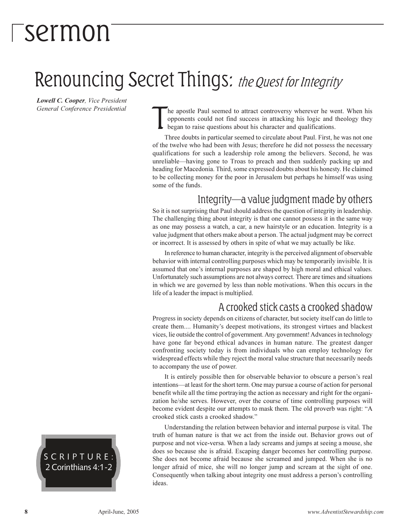## Tsermon

### Renouncing Secret Things: the Quest for Integrity

Lowell C. Cooper, Vice President General Conference Presidential

he apostle Paul seemed to attract controversy wherever he went. When his opponents could not find success in attacking his logic and theology they began to raise questions about his character and qualifications.

Three doubts in particular seemed to circulate about Paul. First, he was not one of the twelve who had been with Jesus; therefore he did not possess the necessary qualifications for such a leadership role among the believers. Second, he was unreliable—having gone to Troas to preach and then suddenly packing up and heading for Macedonia. Third, some expressed doubts about his honesty. He claimed to be collecting money for the poor in Jerusalem but perhaps he himself was using some of the funds.

#### Integrity—a value judgment made by others

So it is not surprising that Paul should address the question of integrity in leadership. The challenging thing about integrity is that one cannot possess it in the same way as one may possess a watch, a car, a new hairstyle or an education. Integrity is a value judgment that others make about a person. The actual judgment may be correct or incorrect. It is assessed by others in spite of what we may actually be like.

In reference to human character, integrity is the perceived alignment of observable behavior with internal controlling purposes which may be temporarily invisible. It is assumed that one's internal purposes are shaped by high moral and ethical values. Unfortunately such assumptions are not always correct. There are times and situations in which we are governed by less than noble motivations. When this occurs in the life of a leader the impact is multiplied.

#### A crooked stick casts a crooked shadow

Progress in society depends on citizens of character, but society itself can do little to create them.... Humanity's deepest motivations, its strongest virtues and blackest vices, lie outside the control of government. Any government! Advances in technology have gone far beyond ethical advances in human nature. The greatest danger confronting society today is from individuals who can employ technology for widespread effects while they reject the moral value structure that necessarily needs to accompany the use of power.

It is entirely possible then for observable behavior to obscure a person's real intentions—at least for the short term. One may pursue a course of action for personal benefit while all the time portraying the action as necessary and right for the organization he/she serves. However, over the course of time controlling purposes will become evident despite our attempts to mask them. The old proverb was right: "A crooked stick casts a crooked shadow."

Understanding the relation between behavior and internal purpose is vital. The truth of human nature is that we act from the inside out. Behavior grows out of purpose and not vice-versa. When a lady screams and jumps at seeing a mouse, she does so because she is a fraid. Escaping danger becomes her controlling purpose. She does not become afraid because she screamed and jumped. When she is no longer afraid of mice, she will no longer jump and scream at the sight of one. Consequently when talking about integrity one must address a person's controlling ideas.

SCRIPTURE: 2 Corinthians 4:1-2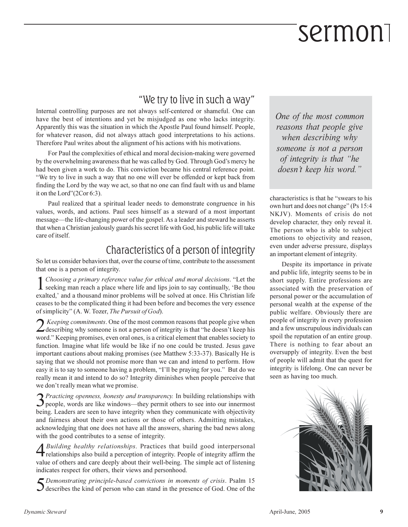# sermon

#### "We try to live in such a way"

Internal controlling purposes are not always self-centered or shameful. One can have the best of intentions and yet be misjudged as one who lacks integrity. Apparently this was the situation in which the Apostle Paul found himself. People, for whatever reason, did not always attach good interpretations to his actions. Therefore Paul writes about the alignment of his actions with his motivations.

For Paul the complexities of ethical and moral decision-making were governed by the overwhelming awareness that he was called by God. Through God's mercy he had been given a work to do. This conviction became his central reference point. "We try to live in such a way that no one will ever be offended or kept back from finding the Lord by the way we act, so that no one can find fault with us and blame it on the Lord" $(2Cor 6:3)$ .

Paul realized that a spiritual leader needs to demonstrate congruence in his values, words, and actions. Paul sees himself as a steward of a most important message—the life-changing power of the gospel. As a leader and steward he asserts that when a Christian jealously guards his secret life with God, his public life will take care of itself.

#### Characteristics of a person of integrity

So let us consider behaviors that, over the course of time, contribute to the assessment that one is a person of integrity.

Choosing a primary reference value for ethical and moral decisions. "Let the  $\mathbf 1$  seeking man reach a place where life and lips join to say continually, 'Be thou exalted,' and a thousand minor problems will be solved at once. His Christian life ceases to be the complicated thing it had been before and becomes the very essence of simplicity" (A. W. Tozer, The Pursuit of God).

Z Keeping commitments. One of the most common reasons that people give when<br>describing why someone is not a person of integrity is that "he doesn't keep his word." Keeping promises, even oral ones, is a critical element that enables society to function. Imagine what life would be like if no one could be trusted. Jesus gave important cautions about making promises (see Matthew 5:33-37). Basically He is saying that we should not promise more than we can and intend to perform. How easy it is to say to someone having a problem, "I'll be praying for you." But do we really mean it and intend to do so? Integrity diminishes when people perceive that we don't really mean what we promise.

3 Practicing openness, honesty and transparency. In building relationships with 3 people, words are like windows—they permit others to see into our innermost being. Leaders are seen to have integrity when they communicate with objectivity and fairness about their own actions or those of others. Admitting mistakes, acknowledging that one does not have all the answers, sharing the bad news along with the good contributes to a sense of integrity.

A Building healthy relationships. Practices that build good interpersonal relationships also build a perception of integrity. People of integrity affirm the value of others and care deeply about their well-being. The simple act of listening indicates respect for others, their views and personhood.

Demonstrating principle-based convictions in moments of crisis. Psalm 15  $\boldsymbol{\mathcal{J}}$  describes the kind of person who can stand in the presence of God. One of the One of the most common reasons that people give when describing why someone is not a person of integrity is that "he doesn't keep his word."

characteristics is that he "swears to his own hurt and does not change" (Ps 15:4) NKJV). Moments of crisis do not develop character, they only reveal it. The person who is able to subject emotions to objectivity and reason, even under adverse pressure, displays an important element of integrity.

Despite its importance in private and public life, integrity seems to be in short supply. Entire professions are associated with the preservation of personal power or the accumulation of personal wealth at the expense of the public welfare. Obviously there are people of integrity in every profession and a few unscrupulous individuals can spoil the reputation of an entire group. There is nothing to fear about an oversupply of integrity. Even the best of people will admit that the quest for integrity is lifelong. One can never be. seen as having too much.

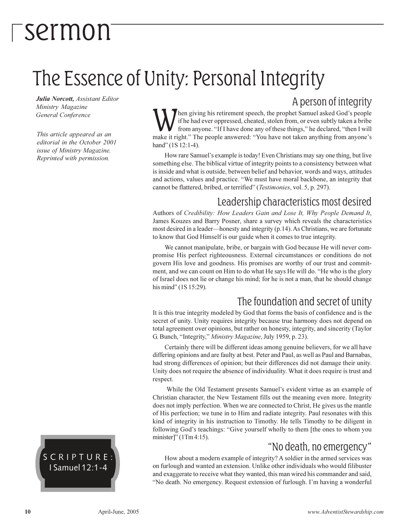# <sup>-</sup>sermon

### The Essence of Unity: Personal Integrity

Julia Norcott, Assistant Editor Ministry Magazine General Conference

This article appeared as an editorial in the October 2001 issue of Ministry Magazine. Reprinted with permission.

A person of integrity

hen giving his retirement speech, the prophet Samuel asked God's people if he had ever oppressed, cheated, stolen from, or even subtly taken a bribe from anyone. "If I have done any of these things," he declared, "then I will make it right." The people answered: "You have not taken anything from anyone's hand" (1S 12:1-4).

How rare Samuel's example is today! Even Christians may say one thing, but live something else. The biblical virtue of integrity points to a consistency between what is inside and what is outside, between belief and behavior, words and ways, attitudes and actions, values and practice. "We must have moral backbone, an integrity that cannot be flattered, bribed, or terrified" (Testimonies, vol. 5, p. 297).

#### Leadership characteristics most desired

Authors of Credibility: How Leaders Gain and Lose It, Why People Demand It, James Kouzes and Barry Posner, share a survey which reveals the characteristics most desired in a leader—honesty and integrity (p.14). As Christians, we are fortunate to know that God Himself is our guide when it comes to true integrity.

We cannot manipulate, bribe, or bargain with God because He will never compromise His perfect righteousness. External circumstances or conditions do not govern His love and goodness. His promises are worthy of our trust and commitment, and we can count on Him to do what He says He will do. "He who is the glory of Israel does not lie or change his mind; for he is not a man, that he should change his mind" (1S 15:29).

#### The foundation and secret of unity

It is this true integrity modeled by God that forms the basis of confidence and is the secret of unity. Unity requires integrity because true harmony does not depend on total agreement over opinions, but rather on honesty, integrity, and sincerity (Taylor G. Bunch, "Integrity," Ministry Magazine, July 1959, p. 23).

Certainly there will be different ideas among genuine believers, for we all have differing opinions and are faulty at best. Peter and Paul, as well as Paul and Barnabas, had strong differences of opinion; but their differences did not damage their unity. Unity does not require the absence of individuality. What it does require is trust and respect.

While the Old Testament presents Samuel's evident virtue as an example of Christian character, the New Testament fills out the meaning even more. Integrity does not imply perfection. When we are connected to Christ, He gives us the mantle of His perfection; we tune in to Him and radiate integrity. Paul resonates with this kind of integrity in his instruction to Timothy. He tells Timothy to be diligent in following God's teachings: "Give yourself wholly to them [the ones to whom you minister]"  $(1 \text{ Tm } 4:15)$ .

#### "No death, no emergency"

How about a modern example of integrity? A soldier in the armed services was on furlough and wanted an extension. Unlike other individuals who would filibuster and exaggerate to receive what they wanted, this man wired his commander and said, "No death. No emergency. Request extension of furlough. I'm having a wonderful

SCRIPTURE: I Samuel 12:1-4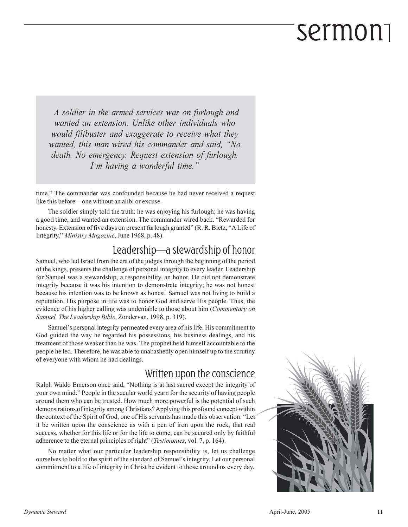# sermon

A soldier in the armed services was on furlough and wanted an extension. Unlike other individuals who would filibuster and exaggerate to receive what they wanted, this man wired his commander and said, "No death. No emergency. Request extension of furlough. I'm having a wonderful time."

time." The commander was confounded because he had never received a request like this before—one without an alibi or excuse.

The soldier simply told the truth: he was enjoying his furlough; he was having a good time, and wanted an extension. The commander wired back. "Rewarded for honesty. Extension of five days on present furlough granted" (R. R. Bietz, "A Life of Integrity," Ministry Magazine, June 1968, p. 48).

#### Leadership-a stewardship of honor

Samuel, who led Israel from the era of the judges through the beginning of the period of the kings, presents the challenge of personal integrity to every leader. Leadership for Samuel was a stewardship, a responsibility, an honor. He did not demonstrate integrity because it was his intention to demonstrate integrity; he was not honest because his intention was to be known as honest. Samuel was not living to build a reputation. His purpose in life was to honor God and serve His people. Thus, the evidence of his higher calling was undeniable to those about him (*Commentary on* Samuel, The Leadership Bible, Zondervan, 1998, p. 319).

Samuel's personal integrity permeated every area of his life. His commitment to God guided the way he regarded his possessions, his business dealings, and his treatment of those weaker than he was. The prophet held himself accountable to the people he led. Therefore, he was able to unabashedly open himself up to the scrutiny of everyone with whom he had dealings.

#### Written upon the conscience

Ralph Waldo Emerson once said, "Nothing is at last sacred except the integrity of your own mind." People in the secular world yearn for the security of having people around them who can be trusted. How much more powerful is the potential of such demonstrations of integrity among Christians? Applying this profound concept within the context of the Spirit of God, one of His servants has made this observation: "Let it be written upon the conscience as with a pen of iron upon the rock, that real success, whether for this life or for the life to come, can be secured only by faithful adherence to the eternal principles of right" (Testimonies, vol. 7, p. 164).

No matter what our particular leadership responsibility is, let us challenge ourselves to hold to the spirit of the standard of Samuel's integrity. Let our personal commitment to a life of integrity in Christ be evident to those around us every day.

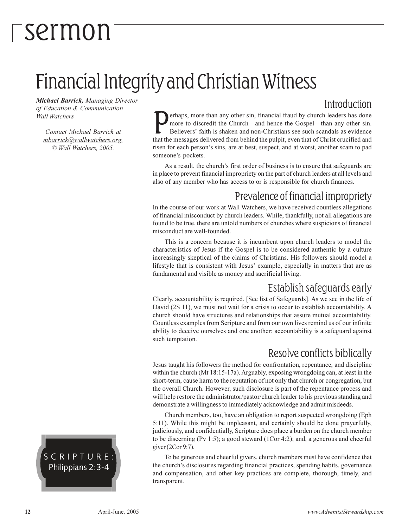# -sermon

### Financial Integrity and Christian Witness

**Michael Barrick, Managing Director** of Education & Communication **Wall Watchers** 

Contact Michael Barrick at mbarrick@wallwatchers.org. © Wall Watchers, 2005.

Introduction erhaps, more than any other sin, financial fraud by church leaders has done more to discredit the Church—and hence the Gospel—than any other sin. Believers' faith is shaken and non-Christians see such scandals as evidence that the messages delivered from behind the pulpit, even that of Christ crucified and risen for each person's sins, are at best, suspect, and at worst, another scam to pad someone's pockets.

As a result, the church's first order of business is to ensure that safeguards are in place to prevent financial impropriety on the part of church leaders at all levels and also of any member who has access to or is responsible for church finances.

#### Prevalence of financial impropriety

In the course of our work at Wall Watchers, we have received countless allegations of financial misconduct by church leaders. While, thankfully, not all allegations are found to be true, there are untold numbers of churches where suspicions of financial misconduct are well-founded.

This is a concern because it is incumbent upon church leaders to model the characteristics of Jesus if the Gospel is to be considered authentic by a culture increasingly skeptical of the claims of Christians. His followers should model a lifestyle that is consistent with Jesus' example, especially in matters that are as fundamental and visible as money and sacrificial living.

#### Establish safequards early

Clearly, accountability is required. [See list of Safeguards]. As we see in the life of David (2S 11), we must not wait for a crisis to occur to establish accountability. A church should have structures and relationships that assure mutual accountability. Countless examples from Scripture and from our own lives remind us of our infinite ability to deceive ourselves and one another; accountability is a safeguard against such temptation.

#### Resolve conflicts biblically

Jesus taught his followers the method for confrontation, repentance, and discipline within the church (Mt 18:15-17a). Arguably, exposing wrongdoing can, at least in the short-term, cause harm to the reputation of not only that church or congregation, but the overall Church. However, such disclosure is part of the repentance process and will help restore the administrator/pastor/church leader to his previous standing and demonstrate a willingness to immediately acknowledge and admit misdeeds.

Church members, too, have an obligation to report suspected wrongdoing (Eph 5:11). While this might be unpleasant, and certainly should be done prayerfully, judiciously, and confidentially, Scripture does place a burden on the church member to be discerning (Pv 1:5); a good steward (1Cor 4:2); and, a generous and cheerful giver (2Cor 9:7).

To be generous and cheerful givers, church members must have confidence that the church's disclosures regarding financial practices, spending habits, governance and compensation, and other key practices are complete, thorough, timely, and transparent.

SCRIPTURE: Philippians 2:3-4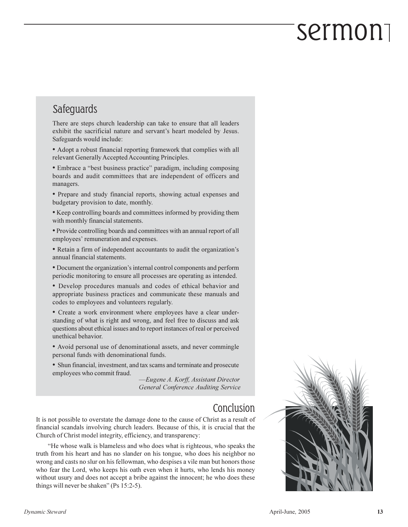# sermon

#### Safeguards

There are steps church leadership can take to ensure that all leaders exhibit the sacrificial nature and servant's heart modeled by Jesus. Safeguards would include:

• Adopt a robust financial reporting framework that complies with all relevant Generally Accepted Accounting Principles.

• Embrace a "best business practice" paradigm, including composing boards and audit committees that are independent of officers and managers.

• Prepare and study financial reports, showing actual expenses and budgetary provision to date, monthly.

• Keep controlling boards and committees informed by providing them with monthly financial statements.

• Provide controlling boards and committees with an annual report of all employees' remuneration and expenses.

• Retain a firm of independent accountants to audit the organization's annual financial statements.

• Document the organization's internal control components and perform periodic monitoring to ensure all processes are operating as intended.

• Develop procedures manuals and codes of ethical behavior and appropriate business practices and communicate these manuals and codes to employees and volunteers regularly.

• Create a work environment where employees have a clear understanding of what is right and wrong, and feel free to discuss and ask questions about ethical issues and to report instances of real or perceived unethical behavior.

• Avoid personal use of denominational assets, and never commingle personal funds with denominational funds.

• Shun financial, investment, and tax scams and terminate and prosecute employees who commit fraud.

-Eugene A. Korff, Assistant Director General Conference Auditing Service

#### Conclusion

It is not possible to overstate the damage done to the cause of Christ as a result of financial scandals involving church leaders. Because of this, it is crucial that the Church of Christ model integrity, efficiency, and transparency:

"He whose walk is blameless and who does what is righteous, who speaks the truth from his heart and has no slander on his tongue, who does his neighbor no wrong and casts no slur on his fellowman, who despises a vile man but honors those who fear the Lord, who keeps his oath even when it hurts, who lends his money without usury and does not accept a bribe against the innocent; he who does these things will never be shaken" (Ps 15:2-5).

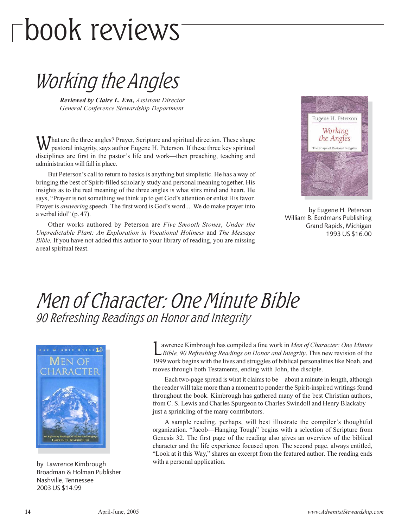# $\Gamma$ book reviews

### Working the Angles

Reviewed by Claire L. Eva, Assistant Director General Conference Stewardship Department

That are the three angles? Prayer, Scripture and spiritual direction. These shape pastoral integrity, says author Eugene H. Peterson. If these three key spiritual disciplines are first in the pastor's life and work—then preaching, teaching and administration will fall in place.

But Peterson's call to return to basics is anything but simplistic. He has a way of bringing the best of Spirit-filled scholarly study and personal meaning together. His insights as to the real meaning of the three angles is what stirs mind and heart. He says, "Prayer is not something we think up to get God's attention or enlist His favor. Prayer is answering speech. The first word is God's word.... We do make prayer into a verbal idol" (p. 47).

Other works authored by Peterson are Five Smooth Stones, Under the Unpredictable Plant: An Exploration in Vocational Holiness and The Message Bible. If you have not added this author to your library of reading, you are missing a real spiritual feast.



by Eugene H. Peterson William B. Eerdmans Publishing Grand Rapids, Michigan 1993 US \$16.00

#### Men of Character: One Minute Bible 90 Refreshing Readings on Honor and Integrity



by Lawrence Kimbrough Broadman & Holman Publisher Nashville, Tennessee 2003 US \$14.99

awrence Kimbrough has compiled a fine work in Men of Character: One Minute LBible, 90 Refreshing Readings on Honor and Integrity. This new revision of the 1999 work begins with the lives and struggles of biblical personalities like Noah, and moves through both Testaments, ending with John, the disciple.

Each two-page spread is what it claims to be—about a minute in length, although the reader will take more than a moment to ponder the Spirit-inspired writings found throughout the book. Kimbrough has gathered many of the best Christian authors, from C. S. Lewis and Charles Spurgeon to Charles Swindoll and Henry Blackaby just a sprinkling of the many contributors.

A sample reading, perhaps, will best illustrate the compiler's thoughtful organization. "Jacob—Hanging Tough" begins with a selection of Scripture from Genesis 32. The first page of the reading also gives an overview of the biblical character and the life experience focused upon. The second page, always entitled, "Look at it this Way," shares an excerpt from the featured author. The reading ends with a personal application.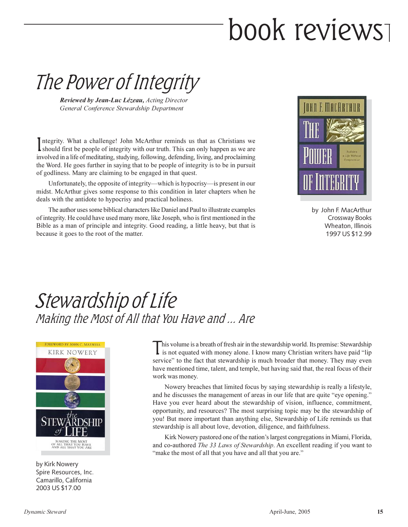# book reviews

The Power of Integrity

Reviewed by Jean-Luc Lézeau, Acting Director General Conference Stewardship Department

ntegrity. What a challenge! John McArthur reminds us that as Christians we should first be people of integrity with our truth. This can only happen as we are involved in a life of meditating, studying, following, defending, living, and proclaiming the Word. He goes further in saying that to be people of integrity is to be in pursuit of godliness. Many are claiming to be engaged in that quest.

Unfortunately, the opposite of integrity—which is hypocrisy—is present in our midst. McArthur gives some response to this condition in later chapters when he deals with the antidote to hypocrisy and practical holiness.

The author uses some biblical characters like Daniel and Paul to illustrate examples of integrity. He could have used many more, like Joseph, who is first mentioned in the Bible as a man of principle and integrity. Good reading, a little heavy, but that is because it goes to the root of the matter.



by John F. MacArthur Crossway Books Wheaton, Illinois 1997 US \$12.99

### Stewardship of Life Making the Most of All that You Have and ... Are



by Kirk Nowery Spire Resources, Inc. Camarillo, California 2003 US \$17.00

This volume is a breath of fresh air in the stewardship world. Its premise: Stewardship is not equated with money alone. I know many Christian writers have paid "lip service" to the fact that stewardship is much broader that money. They may even have mentioned time, talent, and temple, but having said that, the real focus of their work was money.

Nowery breaches that limited focus by saying stewardship is really a lifestyle, and he discusses the management of areas in our life that are quite "eye opening." Have you ever heard about the stewardship of vision, influence, commitment, opportunity, and resources? The most surprising topic may be the stewardship of you! But more important than anything else, Stewardship of Life reminds us that stewardship is all about love, devotion, diligence, and faithfulness.

Kirk Nowery pastored one of the nation's largest congregations in Miami, Florida, and co-authored The 33 Laws of Stewardship. An excellent reading if you want to "make the most of all that you have and all that you are."